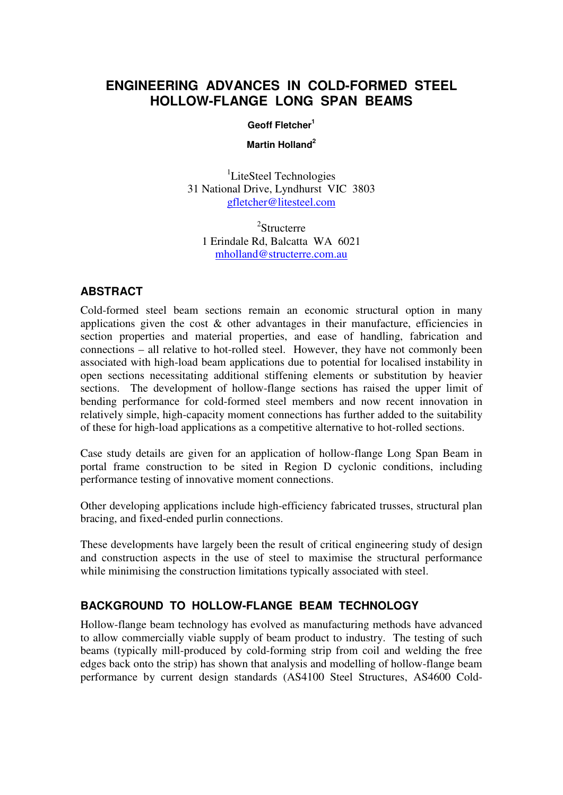# **ENGINEERING ADVANCES IN COLD-FORMED STEEL HOLLOW-FLANGE LONG SPAN BEAMS**

#### **Geoff Fletcher<sup>1</sup>**

#### **Martin Holland<sup>2</sup>**

<sup>1</sup>LiteSteel Technologies 31 National Drive, Lyndhurst VIC 3803 gfletcher@litesteel.com

2 Structerre 1 Erindale Rd, Balcatta WA 6021 mholland@structerre.com.au

### **ABSTRACT**

Cold-formed steel beam sections remain an economic structural option in many applications given the cost  $\&$  other advantages in their manufacture, efficiencies in section properties and material properties, and ease of handling, fabrication and connections – all relative to hot-rolled steel. However, they have not commonly been associated with high-load beam applications due to potential for localised instability in open sections necessitating additional stiffening elements or substitution by heavier sections. The development of hollow-flange sections has raised the upper limit of bending performance for cold-formed steel members and now recent innovation in relatively simple, high-capacity moment connections has further added to the suitability of these for high-load applications as a competitive alternative to hot-rolled sections.

Case study details are given for an application of hollow-flange Long Span Beam in portal frame construction to be sited in Region D cyclonic conditions, including performance testing of innovative moment connections.

Other developing applications include high-efficiency fabricated trusses, structural plan bracing, and fixed-ended purlin connections.

These developments have largely been the result of critical engineering study of design and construction aspects in the use of steel to maximise the structural performance while minimising the construction limitations typically associated with steel.

## **BACKGROUND TO HOLLOW-FLANGE BEAM TECHNOLOGY**

Hollow-flange beam technology has evolved as manufacturing methods have advanced to allow commercially viable supply of beam product to industry. The testing of such beams (typically mill-produced by cold-forming strip from coil and welding the free edges back onto the strip) has shown that analysis and modelling of hollow-flange beam performance by current design standards (AS4100 Steel Structures, AS4600 Cold-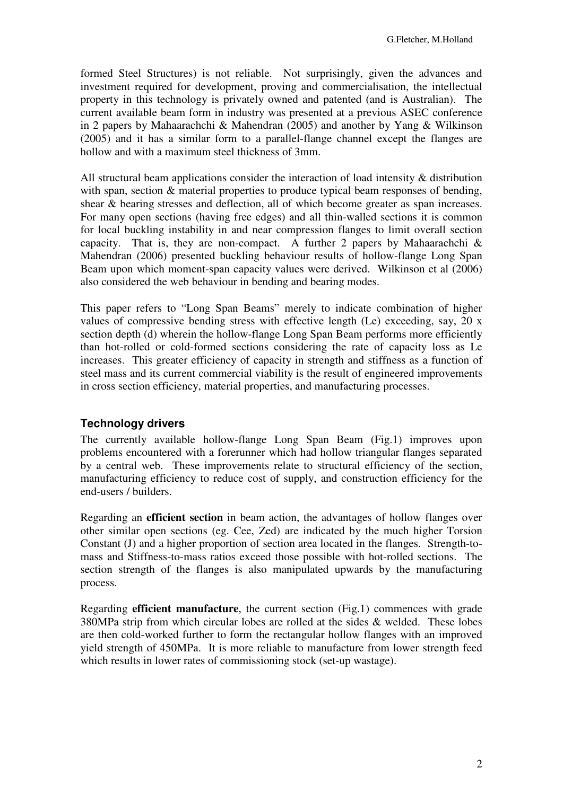formed Steel Structures) is not reliable. Not surprisingly, given the advances and investment required for development, proving and commercialisation, the intellectual property in this technology is privately owned and patented (and is Australian). The current available beam form in industry was presented at a previous ASEC conference in 2 papers by Mahaarachchi & Mahendran (2005) and another by Yang & Wilkinson (2005) and it has a similar form to a parallel-flange channel except the flanges are hollow and with a maximum steel thickness of 3mm.

All structural beam applications consider the interaction of load intensity & distribution with span, section  $\&$  material properties to produce typical beam responses of bending, shear & bearing stresses and deflection, all of which become greater as span increases. For many open sections (having free edges) and all thin-walled sections it is common for local buckling instability in and near compression flanges to limit overall section capacity. That is, they are non-compact. A further 2 papers by Mahaarachchi  $\&$ Mahendran (2006) presented buckling behaviour results of hollow-flange Long Span Beam upon which moment-span capacity values were derived. Wilkinson et al (2006) also considered the web behaviour in bending and bearing modes.

This paper refers to "Long Span Beams" merely to indicate combination of higher values of compressive bending stress with effective length (Le) exceeding, say, 20 x section depth (d) wherein the hollow-flange Long Span Beam performs more efficiently than hot-rolled or cold-formed sections considering the rate of capacity loss as Le increases. This greater efficiency of capacity in strength and stiffness as a function of steel mass and its current commercial viability is the result of engineered improvements in cross section efficiency, material properties, and manufacturing processes.

### **Technology drivers**

The currently available hollow-flange Long Span Beam (Fig.1) improves upon problems encountered with a forerunner which had hollow triangular flanges separated by a central web. These improvements relate to structural efficiency of the section, manufacturing efficiency to reduce cost of supply, and construction efficiency for the end-users / builders.

Regarding an **efficient section** in beam action, the advantages of hollow flanges over other similar open sections (eg. Cee, Zed) are indicated by the much higher Torsion Constant (J) and a higher proportion of section area located in the flanges. Strength-tomass and Stiffness-to-mass ratios exceed those possible with hot-rolled sections. The section strength of the flanges is also manipulated upwards by the manufacturing process.

Regarding **efficient manufacture**, the current section (Fig.1) commences with grade 380MPa strip from which circular lobes are rolled at the sides & welded. These lobes are then cold-worked further to form the rectangular hollow flanges with an improved yield strength of 450MPa. It is more reliable to manufacture from lower strength feed which results in lower rates of commissioning stock (set-up wastage).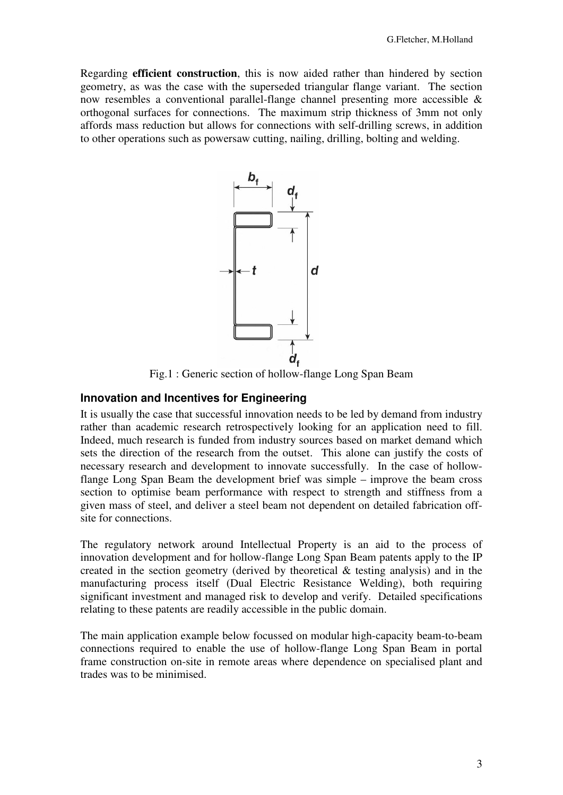Regarding **efficient construction**, this is now aided rather than hindered by section geometry, as was the case with the superseded triangular flange variant. The section now resembles a conventional parallel-flange channel presenting more accessible & orthogonal surfaces for connections. The maximum strip thickness of 3mm not only affords mass reduction but allows for connections with self-drilling screws, in addition to other operations such as powersaw cutting, nailing, drilling, bolting and welding.



Fig.1 : Generic section of hollow-flange Long Span Beam

### **Innovation and Incentives for Engineering**

It is usually the case that successful innovation needs to be led by demand from industry rather than academic research retrospectively looking for an application need to fill. Indeed, much research is funded from industry sources based on market demand which sets the direction of the research from the outset. This alone can justify the costs of necessary research and development to innovate successfully. In the case of hollowflange Long Span Beam the development brief was simple – improve the beam cross section to optimise beam performance with respect to strength and stiffness from a given mass of steel, and deliver a steel beam not dependent on detailed fabrication offsite for connections.

The regulatory network around Intellectual Property is an aid to the process of innovation development and for hollow-flange Long Span Beam patents apply to the IP created in the section geometry (derived by theoretical & testing analysis) and in the manufacturing process itself (Dual Electric Resistance Welding), both requiring significant investment and managed risk to develop and verify. Detailed specifications relating to these patents are readily accessible in the public domain.

The main application example below focussed on modular high-capacity beam-to-beam connections required to enable the use of hollow-flange Long Span Beam in portal frame construction on-site in remote areas where dependence on specialised plant and trades was to be minimised.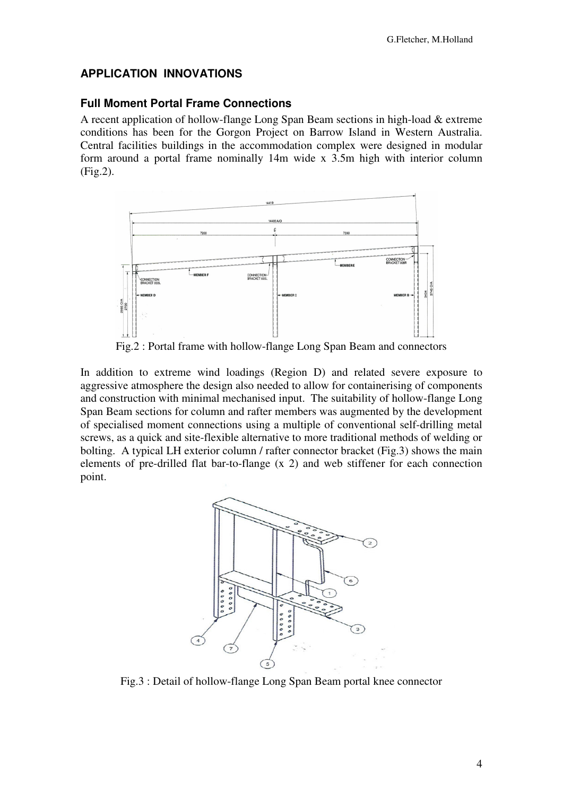### **APPLICATION INNOVATIONS**

#### **Full Moment Portal Frame Connections**

A recent application of hollow-flange Long Span Beam sections in high-load & extreme conditions has been for the Gorgon Project on Barrow Island in Western Australia. Central facilities buildings in the accommodation complex were designed in modular form around a portal frame nominally 14m wide x 3.5m high with interior column (Fig.2).



Fig.2 : Portal frame with hollow-flange Long Span Beam and connectors

In addition to extreme wind loadings (Region D) and related severe exposure to aggressive atmosphere the design also needed to allow for containerising of components and construction with minimal mechanised input. The suitability of hollow-flange Long Span Beam sections for column and rafter members was augmented by the development of specialised moment connections using a multiple of conventional self-drilling metal screws, as a quick and site-flexible alternative to more traditional methods of welding or bolting. A typical LH exterior column / rafter connector bracket (Fig.3) shows the main elements of pre-drilled flat bar-to-flange (x 2) and web stiffener for each connection point.



Fig.3 : Detail of hollow-flange Long Span Beam portal knee connector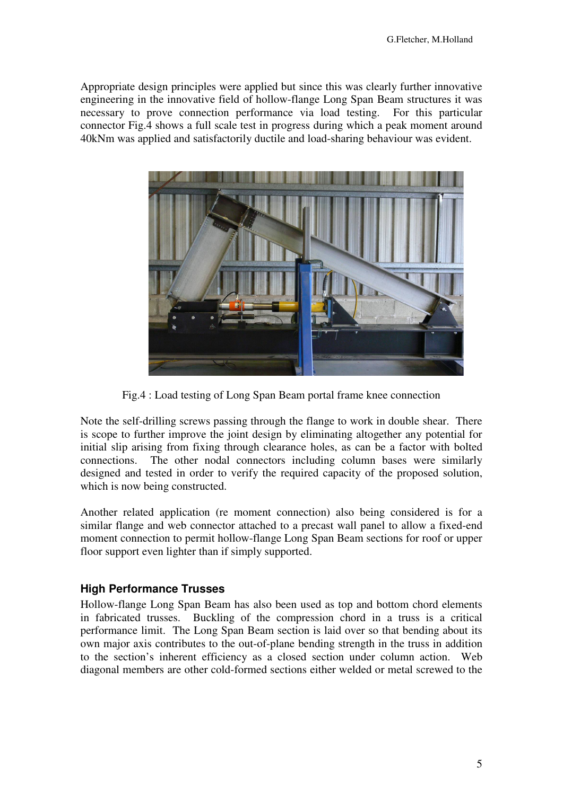Appropriate design principles were applied but since this was clearly further innovative engineering in the innovative field of hollow-flange Long Span Beam structures it was necessary to prove connection performance via load testing. For this particular connector Fig.4 shows a full scale test in progress during which a peak moment around 40kNm was applied and satisfactorily ductile and load-sharing behaviour was evident.



Fig.4 : Load testing of Long Span Beam portal frame knee connection

Note the self-drilling screws passing through the flange to work in double shear. There is scope to further improve the joint design by eliminating altogether any potential for initial slip arising from fixing through clearance holes, as can be a factor with bolted connections. The other nodal connectors including column bases were similarly designed and tested in order to verify the required capacity of the proposed solution, which is now being constructed.

Another related application (re moment connection) also being considered is for a similar flange and web connector attached to a precast wall panel to allow a fixed-end moment connection to permit hollow-flange Long Span Beam sections for roof or upper floor support even lighter than if simply supported.

### **High Performance Trusses**

Hollow-flange Long Span Beam has also been used as top and bottom chord elements in fabricated trusses. Buckling of the compression chord in a truss is a critical performance limit. The Long Span Beam section is laid over so that bending about its own major axis contributes to the out-of-plane bending strength in the truss in addition to the section's inherent efficiency as a closed section under column action. Web diagonal members are other cold-formed sections either welded or metal screwed to the